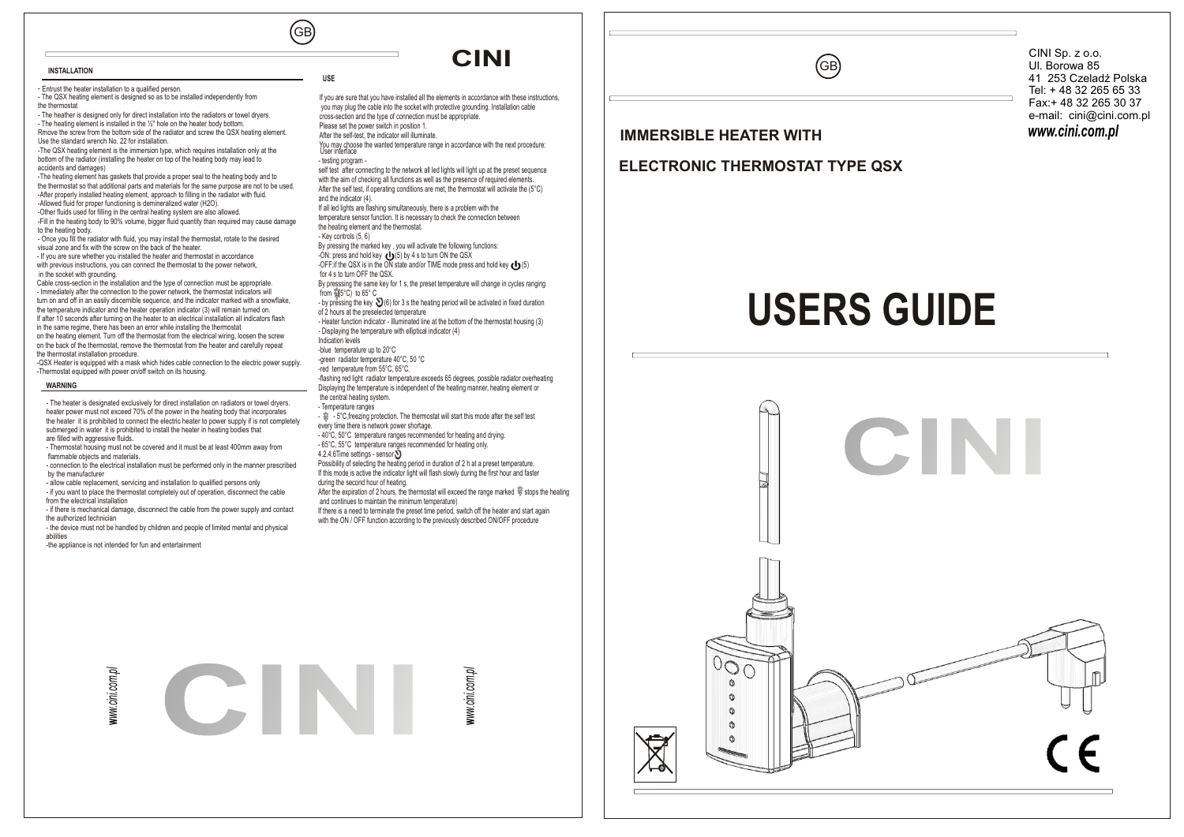GB

**USE**

# **CINI**

If you are sure that you have installed all the elements in accordance with these instructions, you may plug the cable into the socket with protective grounding. Installation cable

*www.cini.com.pl* CINI Sp. z o.o. Ul. Borowa 85 41 253 Czeladź Polska Tel: + 48 32 265 65 33 Fax:+ 48 32 265 30 37 e-mail: cini@cini.com.pl

#### - Entrust the heater installation to a qualified person. - The QSX heating element is designed so as to be installed independently from the thermostat

- The heather is designed only for direct installation into the radiators or towel dryers. - The heating element is installed in the ½'' hole on the heater body bottom. Rmove the screw from the bottom side of the radiator and screw the QSX heating element.

Use the standard wrench No. 22 for installation. -The QSX heating element is the immersion type, which requires installation only at the bottom of the radiator (installing the heater on top of the heating body may lead to accidents and damages)

-The heating element has gaskets that provide a proper seal to the heating body and to the thermostat so that additional parts and materials for the same purpose are not to be used. -After properly installed heating element, approach to filling in the radiator with fluid. -Allowed fluid for proper functioning is demineralized water (H2O).

-Other fluids used for filling in the central heating system are also allowed. -Fill in the heating body to 90% volume, bigger fluid quantity than required may cause damage to the heating body.

- Once you fill the radiator with fluid, you may install the thermostat, rotate to the desired visual zone and fix with the screw on the back of the heater. - If you are sure whether you installed the heater and thermostat in accordance

with previous instructions, you can connect the thermostat to the power network. in the socket with grounding.

Cable cross-section in the installation and the type of connection must be appropriate. - Immediately after the connection to the power network, the thermostat indicators will turn on and off in an easily discernible sequence, and the indicator marked with a snowflake, the temperature indicator and the heater operation indicator (3) will remain turned on. If after 10 seconds after turning on the heater to an electrical installation all indicators flash in the same regime, there has been an error while installing the thermostat on the heating element. Turn off the thermostat from the electrical wiring, loosen the screw on the back of the thermostat, remove the thermostat from the heater and carefully repeat

the thermostat installation procedure. -QSX Heater is equipped with a mask which hides cable connection to the electric power supply. -Thermostat equipped with power on/off switch on its housing.

### **WARNING**

**INSTALLATION**

- The heater is designated exclusively for direct installation on radiators or towel dryers. heater power must not exceed 70% of the power in the heating body that incorporates the heater it is prohibited to connect the electric heater to power supply if is not completely submerged in water it is prohibited to install the heater in heating bodies that are filled with aggressive fluids.

- Thermostat housing must not be covered and it must be at least 400mm away from flammable objects and materials.

- connection to the electrical installation must be performed only in the manner prescribed by the manufacturer

- allow cable replacement, servicing and installation to qualified persons only - if you want to place the thermostat completely out of operation, disconnect the cable from the electrical installation

- if there is mechanical damage, disconnect the cable from the power supply and contact the authorized technician

- the device must not be handled by children and people of limited mental and physical abilities

-the appliance is not intended for fun and entertainment

cross-section and the type of connection must be appropriate. Please set the power switch in position 1. After the self-test, the indicator will illuminate. You may choose the wanted temperature range in accordance with the next procedure: User interface - testing program self test after connecting to the network all led lights will light up at the preset sequence with the aim of checking all functions as well as the presence of required elements. After the self test, if operating conditions are met, the thermostat will activate the (5°C) and the indicator (4). If all led lights are flashing simultaneously, there is a problem with the temperature sensor function. It is necessary to check the connection between the heating element and the thermostat. - Key controls (5, 6) By pressing the marked key , you will activate the following functions: -ON: press and hold key (5) by 4 s to turn ON the QSX -OFF: if the OSX is in the ON state and/or TIME mode press and hold key  $\epsilon \cdot \cdot$  (5) for 4 s to turn OFF the QSX. By presssing the same key for 1 s, the preset temperature will change in cycles ranging from  $(5^{\circ}C)$  to  $65^{\circ}C$ - by pressing the key  $\bigcirc$  (6) for 3 s the heating period will be activated in fixed duration of 2 hours at the preselected temperature - Heater function indicator - Illuminated line at the bottom of the thermostat housing (3) - Displaying the temperature with elliptical indicator (4) Indication levels -blue temperature up to 20°C -green radiator temperature 40°C, 50 °C -red temperature from 55°C, 65°C. -flashing red light radiator temperature exceeds 65 degrees, possible radiator overheating Displaying the temperature is independent of the heating manner, heating element or the central heating system. - Temperature ranges  $\stackrel{\leftrightarrow}{\Rightarrow}$  - 5°C, freezing protection. The thermostat will start this mode after the self test every time there is network power shortage. - 40°C, 50°C temperature ranges recommended for heating and drying. - 65°C, 55°C temperature ranges recommended for heating only. 4.2.4.6Time settings - sensor Possibility of selecting the heating period in duration of 2 h at a preset temperature. If this mode is active the indicator light will flash slowly during the first hour and faster during the second hour of heating. After the expiration of 2 hours, the thermostat will exceed the range marked  $\stackrel{\text{def}}{=}$  stops the heating and continues to maintain the minimum temperature)

If there is a need to terminate the preset time period, switch off the heater and start again with the ON / OFF function according to the previously described ON/OFF procedure



### **IMMERSIBLE HEATER WITH**

## **ELECTRONIC THERMOSTAT TYPE QSX**

GB

# **USERS GUIDE**